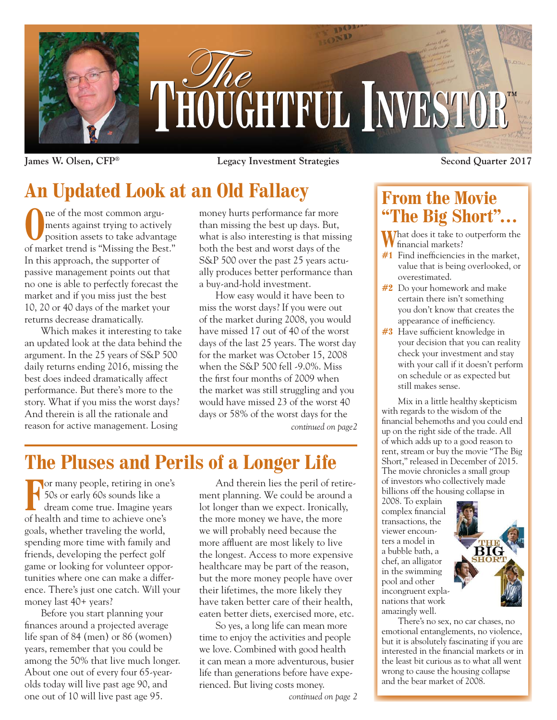

**James W. Olsen, CFP® Legacy Investment Strategies Second Quarter 2017**

# **An Updated Look at an Old Fallacy**

The of the most common arguments against trying to active position assets to take advants ments against trying to actively position assets to take advantage of market trend is "Missing the Best." In this approach, the supporter of passive management points out that no one is able to perfectly forecast the market and if you miss just the best 10, 20 or 40 days of the market your returns decrease dramatically.

Which makes it interesting to take an updated look at the data behind the argument. In the 25 years of S&P 500 daily returns ending 2016, missing the best does indeed dramatically affect performance. But there's more to the story. What if you miss the worst days? And therein is all the rationale and reason for active management. Losing

money hurts performance far more than missing the best up days. But, what is also interesting is that missing both the best and worst days of the S&P 500 over the past 25 years actually produces better performance than a buy-and-hold investment.

How easy would it have been to miss the worst days? If you were out of the market during 2008, you would have missed 17 out of 40 of the worst days of the last 25 years. The worst day for the market was October 15, 2008 when the S&P 500 fell -9.0%. Miss the first four months of 2009 when the market was still struggling and you would have missed 23 of the worst 40 days or 58% of the worst days for the *continued on page2*

## **The Pluses and Perils of a Longer Life**

**For many people, retiring in one's** 50s or early 60s sounds like a dream come true. Imagine years of health and time to achieve one's goals, whether traveling the world, spending more time with family and friends, developing the perfect golf game or looking for volunteer opportunities where one can make a difference. There's just one catch. Will your money last 40+ years?

Before you start planning your finances around a projected average life span of 84 (men) or 86 (women) years, remember that you could be among the 50% that live much longer. About one out of every four 65-yearolds today will live past age 90, and one out of 10 will live past age 95.

And therein lies the peril of retirement planning. We could be around a lot longer than we expect. Ironically, the more money we have, the more we will probably need because the more affluent are most likely to live the longest. Access to more expensive healthcare may be part of the reason, but the more money people have over their lifetimes, the more likely they have taken better care of their health, eaten better diets, exercised more, etc.

So yes, a long life can mean more time to enjoy the activities and people we love. Combined with good health it can mean a more adventurous, busier life than generations before have experienced. But living costs money.

### **From the Movie "The Big Short"…**

What does it take to outperform the financial markets?

- **#1** Find inefficiencies in the market, value that is being overlooked, or overestimated.
- **#2** Do your homework and make certain there isn't something you don't know that creates the appearance of inefficiency.
- **#3** Have sufficient knowledge in your decision that you can reality check your investment and stay with your call if it doesn't perform on schedule or as expected but still makes sense.

Mix in a little healthy skepticism with regards to the wisdom of the financial behemoths and you could end up on the right side of the trade. All of which adds up to a good reason to rent, stream or buy the movie "The Big Short," released in December of 2015. The movie chronicles a small group of investors who collectively made billions off the housing collapse in

2008. To explain complex financial transactions, the viewer encounters a model in a bubble bath, a chef, an alligator in the swimming pool and other incongruent explanations that work amazingly well.



There's no sex, no car chases, no emotional entanglements, no violence, but it is absolutely fascinating if you are interested in the financial markets or in the least bit curious as to what all went wrong to cause the housing collapse and the bear market of 2008.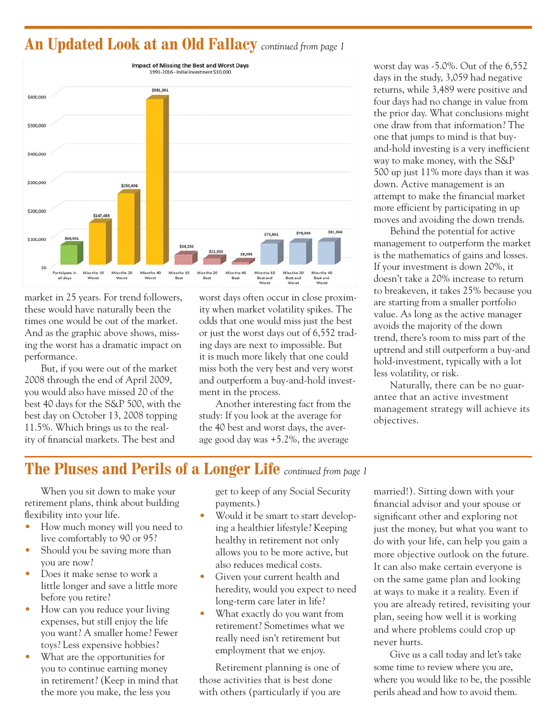#### **An Updated Look at an Old Fallacy** *continued from page 1*



market in 25 years. For trend followers, these would have naturally been the times one would be out of the market. And as the graphic above shows, missing the worst has a dramatic impact on performance.

But, if you were out of the market 2008 through the end of April 2009, you would also have missed 20 of the best 40 days for the S&P 500, with the best day on October 13, 2008 topping 11.5%. Which brings us to the reality of financial markets. The best and

worst days often occur in close proximity when market volatility spikes. The odds that one would miss just the best or just the worst days out of 6,552 trading days are next to impossible. But it is much more likely that one could miss both the very best and very worst and outperform a buy-and-hold investment in the process.

Another interesting fact from the study: If you look at the average for the 40 best and worst days, the average good day was +5.2%, the average

worst day was -5.0%. Out of the 6,552 days in the study, 3,059 had negative returns, while 3,489 were positive and four days had no change in value from the prior day. What conclusions might one draw from that information? The one that jumps to mind is that buyand-hold investing is a very inefficient way to make money, with the S&P 500 up just 11% more days than it was down. Active management is an attempt to make the financial market more efficient by participating in up moves and avoiding the down trends.

Behind the potential for active management to outperform the market is the mathematics of gains and losses. If your investment is down 20%, it doesn't take a 20% increase to return to breakeven, it takes 25% because you are starting from a smaller portfolio value. As long as the active manager avoids the majority of the down trend, there's room to miss part of the uptrend and still outperform a buy-and hold-investment, typically with a lot less volatility, or risk.

Naturally, there can be no guarantee that an active investment management strategy will achieve its objectives.

### **The Pluses and Perils of a Longer Life** *continued from page 1*

When you sit down to make your retirement plans, think about building flexibility into your life.

- How much money will you need to live comfortably to 90 or 95?
- Should you be saving more than you are now?
- Does it make sense to work a little longer and save a little more before you retire?
- How can you reduce your living expenses, but still enjoy the life you want? A smaller home? Fewer toys? Less expensive hobbies?
- What are the opportunities for you to continue earning money in retirement? (Keep in mind that the more you make, the less you

get to keep of any Social Security payments.)

- Would it be smart to start developing a healthier lifestyle? Keeping healthy in retirement not only allows you to be more active, but also reduces medical costs.
- Given your current health and heredity, would you expect to need long-term care later in life?
- What exactly do you want from retirement? Sometimes what we really need isn't retirement but employment that we enjoy.

Retirement planning is one of those activities that is best done with others (particularly if you are married!). Sitting down with your financial advisor and your spouse or significant other and exploring not just the money, but what you want to do with your life, can help you gain a more objective outlook on the future. It can also make certain everyone is on the same game plan and looking at ways to make it a reality. Even if you are already retired, revisiting your plan, seeing how well it is working and where problems could crop up never hurts.

Give us a call today and let's take some time to review where you are, where you would like to be, the possible perils ahead and how to avoid them.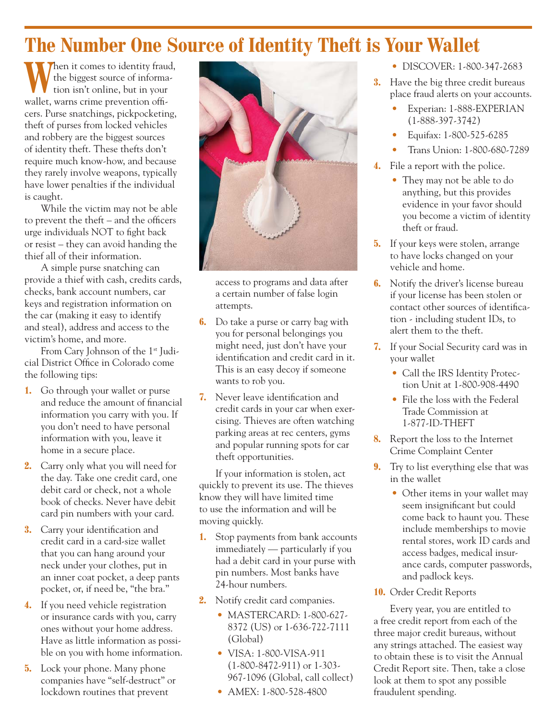## **The Number One Source of Identity Theft is Your Wallet**

When it comes to identity fraud,<br>tion isn't online, but in your the biggest source of information isn't online, but in your wallet, warns crime prevention officers. Purse snatchings, pickpocketing, theft of purses from locked vehicles and robbery are the biggest sources of identity theft. These thefts don't require much know-how, and because they rarely involve weapons, typically have lower penalties if the individual is caught.

While the victim may not be able to prevent the theft – and the officers urge individuals NOT to fight back or resist – they can avoid handing the thief all of their information.

A simple purse snatching can provide a thief with cash, credits cards, checks, bank account numbers, car keys and registration information on the car (making it easy to identify and steal), address and access to the victim's home, and more.

From Cary Johnson of the 1<sup>st</sup> Judicial District Office in Colorado come the following tips:

- **1.** Go through your wallet or purse and reduce the amount of financial information you carry with you. If you don't need to have personal information with you, leave it home in a secure place.
- **2.** Carry only what you will need for the day. Take one credit card, one debit card or check, not a whole book of checks. Never have debit card pin numbers with your card.
- **3.** Carry your identification and credit card in a card-size wallet that you can hang around your neck under your clothes, put in an inner coat pocket, a deep pants pocket, or, if need be, "the bra."
- **4.** If you need vehicle registration or insurance cards with you, carry ones without your home address. Have as little information as possible on you with home information.
- **5.** Lock your phone. Many phone companies have "self-destruct" or lockdown routines that prevent



access to programs and data after a certain number of false login attempts.

- **6.** Do take a purse or carry bag with you for personal belongings you might need, just don't have your identification and credit card in it. This is an easy decoy if someone wants to rob you.
- **7.** Never leave identification and credit cards in your car when exercising. Thieves are often watching parking areas at rec centers, gyms and popular running spots for car theft opportunities.

If your information is stolen, act quickly to prevent its use. The thieves know they will have limited time to use the information and will be moving quickly.

- **1.** Stop payments from bank accounts immediately — particularly if you had a debit card in your purse with pin numbers. Most banks have 24-hour numbers.
- **2.** Notify credit card companies.
	- MASTERCARD: 1-800-627- 8372 (US) or 1-636-722-7111 (Global)
	- VISA: 1-800-VISA-911 (1-800-8472-911) or 1-303- 967-1096 (Global, call collect)
	- AMEX: 1-800-528-4800
- DISCOVER: 1-800-347-2683
- **3.** Have the big three credit bureaus place fraud alerts on your accounts.
	- Experian: 1-888-EXPERIAN (1-888-397-3742)
	- Equifax: 1-800-525-6285
	- Trans Union: 1-800-680-7289
- **4.** File a report with the police.
	- They may not be able to do anything, but this provides evidence in your favor should you become a victim of identity theft or fraud.
- **5.** If your keys were stolen, arrange to have locks changed on your vehicle and home.
- **6.** Notify the driver's license bureau if your license has been stolen or contact other sources of identification - including student IDs, to alert them to the theft.
- **7.** If your Social Security card was in your wallet
	- Call the IRS Identity Protection Unit at 1-800-908-4490
	- File the loss with the Federal Trade Commission at 1-877-ID-THEFT
- **8.** Report the loss to the Internet Crime Complaint Center
- **9.** Try to list everything else that was in the wallet
	- Other items in your wallet may seem insignificant but could come back to haunt you. These include memberships to movie rental stores, work ID cards and access badges, medical insurance cards, computer passwords, and padlock keys.
- **10.** Order Credit Reports

Every year, you are entitled to a free credit report from each of the three major credit bureaus, without any strings attached. The easiest way to obtain these is to visit the Annual Credit Report site. Then, take a close look at them to spot any possible fraudulent spending.